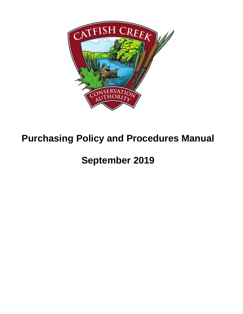

# **Purchasing Policy and Procedures Manual**

**September 2019**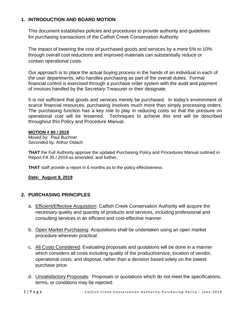#### **1. INTRODUCTION AND BOARD MOTION**

This document establishes policies and procedures to provide authority and guidelines for purchasing transactions of the Catfish Creek Conservation Authority

The impact of lowering the cost of purchased goods and services by a mere 5% to 10% through overall cost reductions and improved materials can substantially reduce or contain operational costs.

Our approach is to place the actual buying process in the hands of an individual in each of the user departments, who handles purchasing as part of the overall duties. Formal financial control is exercised through a purchase order system with the audit and payment of invoices handled by the Secretary-Treasurer or their designate.

It is not sufficient that goods and services merely be purchased. In today's environment of scarce financial resources, purchasing involves much more than simply processing orders. The purchasing function has a key role to play in reducing costs so that the pressure on operational cost will be lessened. Techniques to achieve this end will be described throughout this Policy and Procedure Manual.

#### **MOTION # 80 / 2019**

Moved by: Paul Buchner Seconded by: Arthur Oslach

**THAT** the Full Authority approve the updated Purchasing Policy and Procedures Manual outlined in Report FA 35 / 2019 as amended; and further,

**THAT** staff provide a report in 6 months as to the policy effectiveness.

#### **Date: August 8, 2019**

#### **2. PURCHASING PRINCIPLES**

- a. Efficient/Effective Acquisition: Catfish Creek Conservation Authority will acquire the necessary quality and quantity of products and services, including professional and consulting services in an efficient and cost-effective manner.
- b. Open Market Purchasing: Acquisitions shall be undertaken using an open market procedure wherever practical.
- c. All Costs Considered: Evaluating proposals and quotations will be done in a manner which considers all costs including quality of the product/service, location of vendor, operational costs, and disposal, rather than a decision based solely on the lowest purchase price.
- d. Unsatisfactory Proposals: Proposals or quotations which do not meet the specifications, terms, or conditions may be rejected.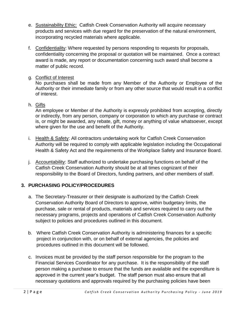- e. Sustainability Ethic: Catfish Creek Conservation Authority will acquire necessary products and services with due regard for the preservation of the natural environment, incorporating recycled materials where applicable.
- f. Confidentiality: Where requested by persons responding to requests for proposals, confidentiality concerning the proposal or quotation will be maintained. Once a contract award is made, any report or documentation concerning such award shall become a matter of public record.
- g. Conflict of Interest

No purchases shall be made from any Member of the Authority or Employee of the Authority or their immediate family or from any other source that would result in a conflict of interest.

h. Gifts

An employee or Member of the Authority is expressly prohibited from accepting, directly or indirectly, from any person, company or corporation to which any purchase or contract is, or might be awarded, any rebate, gift, money or anything of value whatsoever, except where given for the use and benefit of the Authority.

- i. Health & Safety: All contractors undertaking work for Catfish Creek Conservation Authority will be required to comply with applicable legislation including the Occupational Health & Safety Act and the requirements of the Workplace Safety and Insurance Board.
- j. Accountability: Staff authorized to undertake purchasing functions on behalf of the Catfish Creek Conservation Authority should be at all times cognizant of their responsibility to the Board of Directors, funding partners, and other members of staff.

## **3. PURCHASING POLICY/PROCEDURES**

- a. The Secretary-Treasurer or their designate is authorized by the Catfish Creek Conservation Authority Board of Directors to approve, within budgetary limits, the purchase, sale or rental of products, materials and services required to carry out the necessary programs, projects and operations of Catfish Creek Conservation Authority subject to policies and procedures outlined in this document.
- b. Where Catfish Creek Conservation Authority is administering finances for a specific project in conjunction with, or on behalf of external agencies, the policies and procedures outlined in this document will be followed.
- c. Invoices must be provided by the staff person responsible for the program to the Financial Services Coordinator for any purchase. It is the responsibility of the staff person making a purchase to ensure that the funds are available and the expenditure is approved in the current year's budget. The staff person must also ensure that all necessary quotations and approvals required by the purchasing policies have been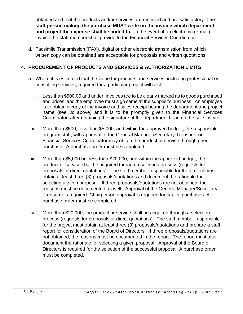obtained and that the products and/or services are received and are satisfactory. **The staff person making the purchase MUST write on the invoice which department and project the expense shall be coded to.** In the event of an electronic (e-mail) invoice the staff member shall provide to the Financial Services Coordinator.

d. Facsimile Transmission (FAX), digital or other electronic transmission from which written copy can be obtained are acceptable for proposals and written quotations.

### **4. PROCUREMENT OF PRODUCTS AND SERVICES & AUTHORIZATION LIMITS**

- a. Where it is estimated that the value for products and services, including professional or consulting services, required for a particular project will cost:
	- i. Less than \$500.00 and under, invoices are to be clearly marked as to goods purchased and prices, and the employee must sign same at the supplier's business. An employee is to obtain a copy of the invoice and sales receipt bearing the department and project name (see 3c above) and it is to be promptly given to the Financial Services Coordinator, after obtaining the signature of the department head on the sale invoice.
	- ii. More than \$500, less than \$5,000, and within the approved budget, the responsible program staff, with approval of the General Manager/Secretary-Treasurer or Financial Services Coordinator may obtain the product or service through direct purchase. A purchase order must be completed.
	- iii. More than \$5,000 but less than \$20,000, and within the approved budget, the product or service shall be acquired through a selection process (requests for proposals or direct quotations). The staff member responsible for the project must obtain at least three (3) proposals/quotations and document the rationale for selecting a given proposal. If three proposals/quotations are not obtained, the reasons must be documented as well. Approval of the General Manager/Secretary-Treasurer is required. Chairperson approval is required for capital purchases. A purchase order must be completed.
	- iv. More than \$20,000, the product or service shall be acquired through a selection process (requests for proposals or direct quotations). The staff member responsible for the project must obtain at least three (3) proposals/quotations and prepare a staff report for consideration of the Board of Directors. If three proposals/quotations are not obtained, the reasons must be documented in the report. The report must also document the rationale for selecting a given proposal. Approval of the Board of Directors is required for the selection of the successful proposal. A purchase order must be completed.